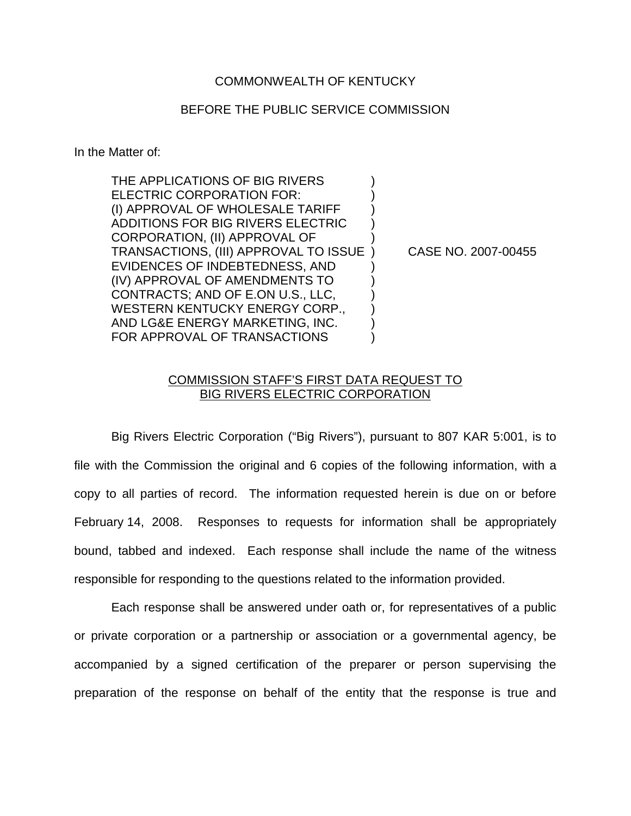## COMMONWEALTH OF KENTUCKY

## BEFORE THE PUBLIC SERVICE COMMISSION

In the Matter of:

THE APPLICATIONS OF BIG RIVERS ELECTRIC CORPORATION FOR: (I) APPROVAL OF WHOLESALE TARIFF ) ADDITIONS FOR BIG RIVERS ELECTRIC ) CORPORATION, (II) APPROVAL OF ) TRANSACTIONS, (III) APPROVAL TO ISSUE ) CASE NO. 2007-00455 EVIDENCES OF INDEBTEDNESS, AND ) (IV) APPROVAL OF AMENDMENTS TO ) CONTRACTS; AND OF E.ON U.S., LLC, ) WESTERN KENTUCKY ENERGY CORP., AND LG&E ENERGY MARKETING, INC. ) FOR APPROVAL OF TRANSACTIONS

## COMMISSION STAFF'S FIRST DATA REQUEST TO BIG RIVERS ELECTRIC CORPORATION

Big Rivers Electric Corporation ("Big Rivers"), pursuant to 807 KAR 5:001, is to file with the Commission the original and 6 copies of the following information, with a copy to all parties of record. The information requested herein is due on or before February 14, 2008. Responses to requests for information shall be appropriately bound, tabbed and indexed. Each response shall include the name of the witness responsible for responding to the questions related to the information provided.

Each response shall be answered under oath or, for representatives of a public or private corporation or a partnership or association or a governmental agency, be accompanied by a signed certification of the preparer or person supervising the preparation of the response on behalf of the entity that the response is true and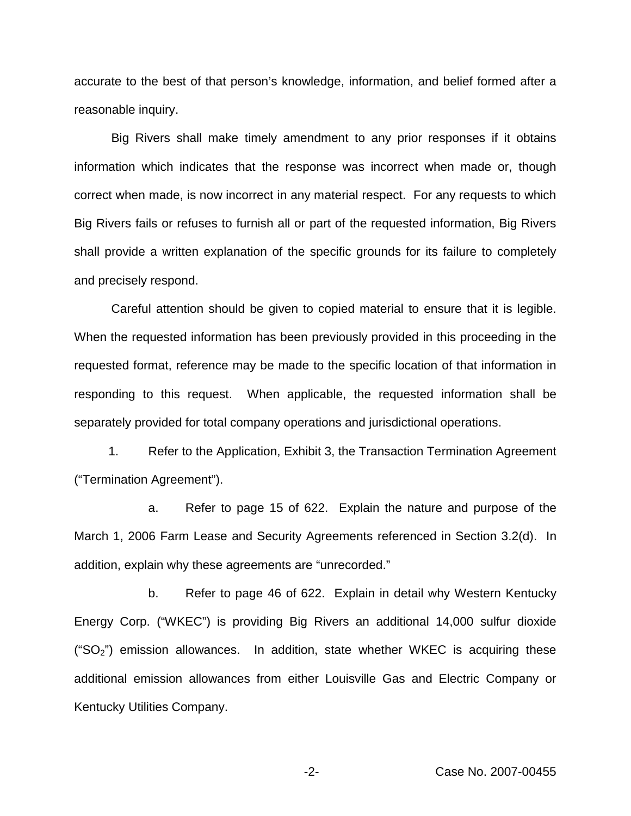accurate to the best of that person's knowledge, information, and belief formed after a reasonable inquiry.

Big Rivers shall make timely amendment to any prior responses if it obtains information which indicates that the response was incorrect when made or, though correct when made, is now incorrect in any material respect. For any requests to which Big Rivers fails or refuses to furnish all or part of the requested information, Big Rivers shall provide a written explanation of the specific grounds for its failure to completely and precisely respond.

Careful attention should be given to copied material to ensure that it is legible. When the requested information has been previously provided in this proceeding in the requested format, reference may be made to the specific location of that information in responding to this request. When applicable, the requested information shall be separately provided for total company operations and jurisdictional operations.

1. Refer to the Application, Exhibit 3, the Transaction Termination Agreement ("Termination Agreement").

a. Refer to page 15 of 622. Explain the nature and purpose of the March 1, 2006 Farm Lease and Security Agreements referenced in Section 3.2(d). In addition, explain why these agreements are "unrecorded."

b. Refer to page 46 of 622. Explain in detail why Western Kentucky Energy Corp. ("WKEC") is providing Big Rivers an additional 14,000 sulfur dioxide (" $SO<sub>2</sub>$ ") emission allowances. In addition, state whether WKEC is acquiring these additional emission allowances from either Louisville Gas and Electric Company or Kentucky Utilities Company.

-2- Case No. 2007-00455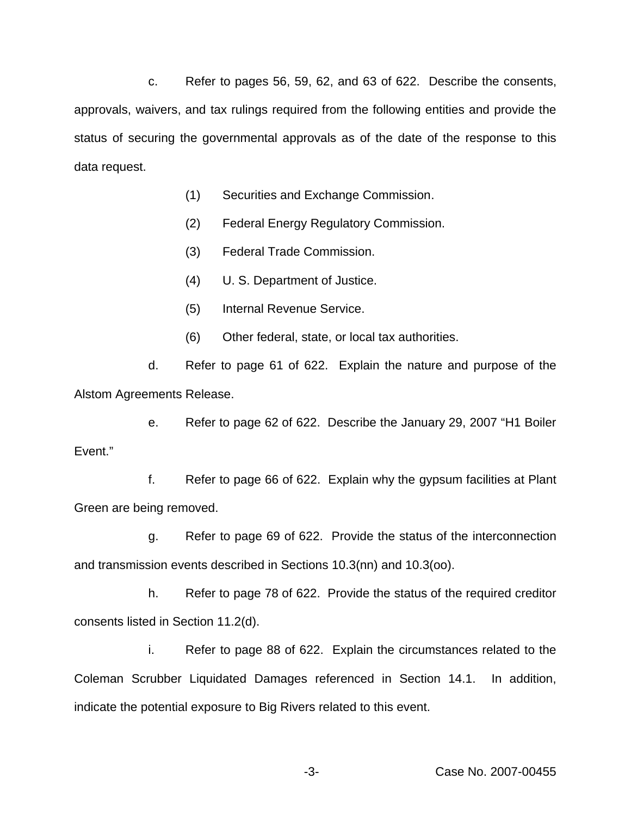c. Refer to pages 56, 59, 62, and 63 of 622. Describe the consents, approvals, waivers, and tax rulings required from the following entities and provide the status of securing the governmental approvals as of the date of the response to this data request.

- (1) Securities and Exchange Commission.
- (2) Federal Energy Regulatory Commission.
- (3) Federal Trade Commission.
- (4) U. S. Department of Justice.
- (5) Internal Revenue Service.
- (6) Other federal, state, or local tax authorities.

d. Refer to page 61 of 622. Explain the nature and purpose of the Alstom Agreements Release.

e. Refer to page 62 of 622. Describe the January 29, 2007 "H1 Boiler Event."

f. Refer to page 66 of 622. Explain why the gypsum facilities at Plant Green are being removed.

g. Refer to page 69 of 622. Provide the status of the interconnection and transmission events described in Sections 10.3(nn) and 10.3(oo).

h. Refer to page 78 of 622. Provide the status of the required creditor consents listed in Section 11.2(d).

i. Refer to page 88 of 622. Explain the circumstances related to the Coleman Scrubber Liquidated Damages referenced in Section 14.1. In addition, indicate the potential exposure to Big Rivers related to this event.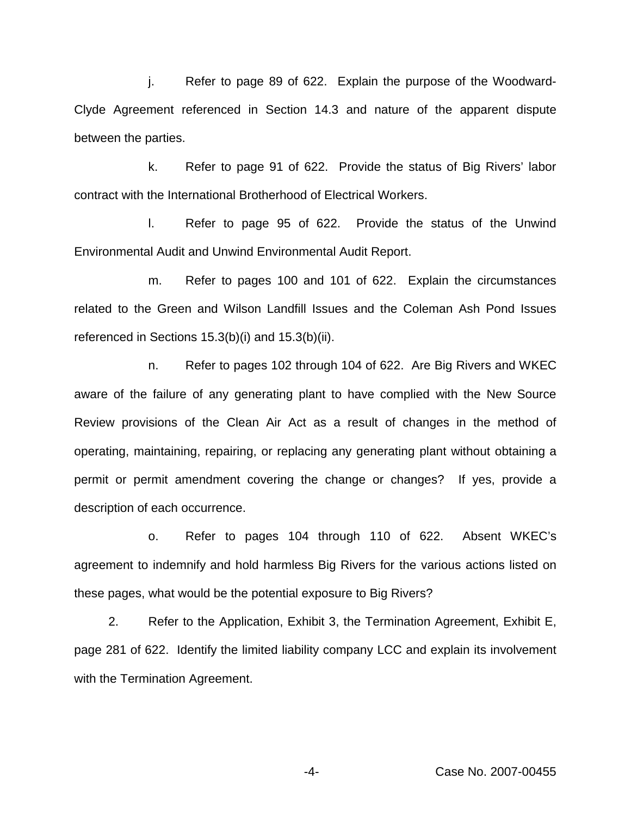j. Refer to page 89 of 622. Explain the purpose of the Woodward-Clyde Agreement referenced in Section 14.3 and nature of the apparent dispute between the parties.

k. Refer to page 91 of 622. Provide the status of Big Rivers' labor contract with the International Brotherhood of Electrical Workers.

l. Refer to page 95 of 622. Provide the status of the Unwind Environmental Audit and Unwind Environmental Audit Report.

m. Refer to pages 100 and 101 of 622. Explain the circumstances related to the Green and Wilson Landfill Issues and the Coleman Ash Pond Issues referenced in Sections 15.3(b)(i) and 15.3(b)(ii).

n. Refer to pages 102 through 104 of 622. Are Big Rivers and WKEC aware of the failure of any generating plant to have complied with the New Source Review provisions of the Clean Air Act as a result of changes in the method of operating, maintaining, repairing, or replacing any generating plant without obtaining a permit or permit amendment covering the change or changes? If yes, provide a description of each occurrence.

o. Refer to pages 104 through 110 of 622. Absent WKEC's agreement to indemnify and hold harmless Big Rivers for the various actions listed on these pages, what would be the potential exposure to Big Rivers?

2. Refer to the Application, Exhibit 3, the Termination Agreement, Exhibit E, page 281 of 622. Identify the limited liability company LCC and explain its involvement with the Termination Agreement.

-4- Case No. 2007-00455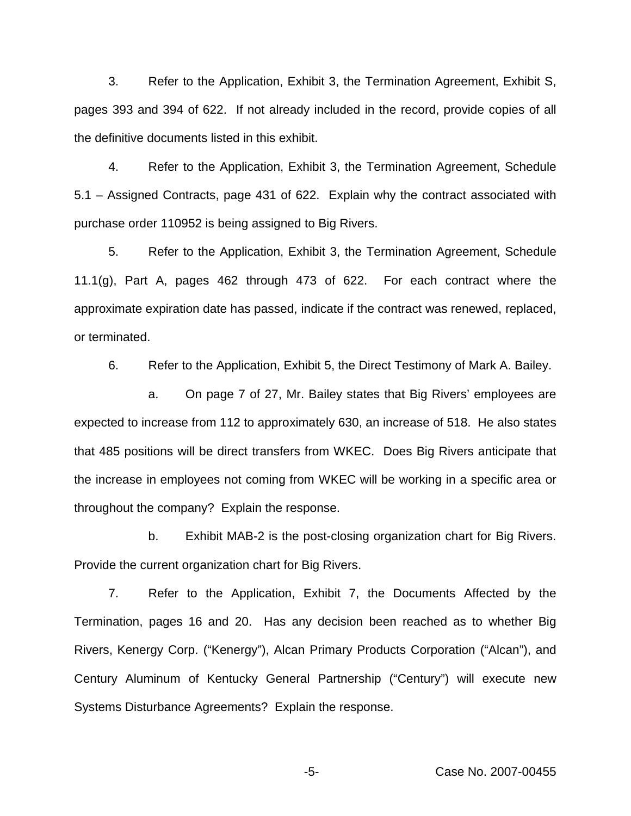3. Refer to the Application, Exhibit 3, the Termination Agreement, Exhibit S, pages 393 and 394 of 622. If not already included in the record, provide copies of all the definitive documents listed in this exhibit.

4. Refer to the Application, Exhibit 3, the Termination Agreement, Schedule 5.1 – Assigned Contracts, page 431 of 622. Explain why the contract associated with purchase order 110952 is being assigned to Big Rivers.

5. Refer to the Application, Exhibit 3, the Termination Agreement, Schedule 11.1(g), Part A, pages 462 through 473 of 622. For each contract where the approximate expiration date has passed, indicate if the contract was renewed, replaced, or terminated.

6. Refer to the Application, Exhibit 5, the Direct Testimony of Mark A. Bailey.

a. On page 7 of 27, Mr. Bailey states that Big Rivers' employees are expected to increase from 112 to approximately 630, an increase of 518. He also states that 485 positions will be direct transfers from WKEC. Does Big Rivers anticipate that the increase in employees not coming from WKEC will be working in a specific area or throughout the company? Explain the response.

b. Exhibit MAB-2 is the post-closing organization chart for Big Rivers. Provide the current organization chart for Big Rivers.

7. Refer to the Application, Exhibit 7, the Documents Affected by the Termination, pages 16 and 20. Has any decision been reached as to whether Big Rivers, Kenergy Corp. ("Kenergy"), Alcan Primary Products Corporation ("Alcan"), and Century Aluminum of Kentucky General Partnership ("Century") will execute new Systems Disturbance Agreements? Explain the response.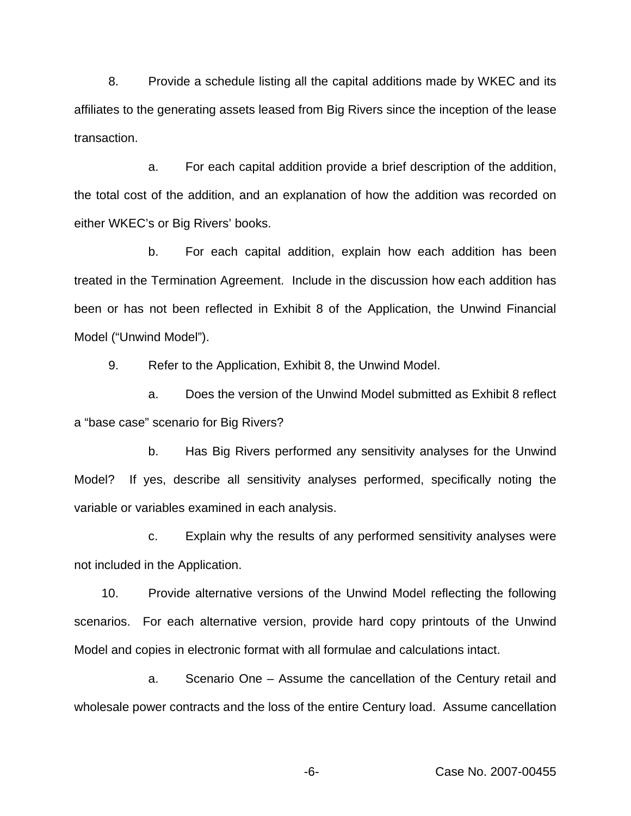8. Provide a schedule listing all the capital additions made by WKEC and its affiliates to the generating assets leased from Big Rivers since the inception of the lease transaction.

a. For each capital addition provide a brief description of the addition, the total cost of the addition, and an explanation of how the addition was recorded on either WKEC's or Big Rivers' books.

b. For each capital addition, explain how each addition has been treated in the Termination Agreement. Include in the discussion how each addition has been or has not been reflected in Exhibit 8 of the Application, the Unwind Financial Model ("Unwind Model").

9. Refer to the Application, Exhibit 8, the Unwind Model.

a. Does the version of the Unwind Model submitted as Exhibit 8 reflect a "base case" scenario for Big Rivers?

b. Has Big Rivers performed any sensitivity analyses for the Unwind Model? If yes, describe all sensitivity analyses performed, specifically noting the variable or variables examined in each analysis.

c. Explain why the results of any performed sensitivity analyses were not included in the Application.

10. Provide alternative versions of the Unwind Model reflecting the following scenarios. For each alternative version, provide hard copy printouts of the Unwind Model and copies in electronic format with all formulae and calculations intact.

a. Scenario One – Assume the cancellation of the Century retail and wholesale power contracts and the loss of the entire Century load. Assume cancellation

-6- Case No. 2007-00455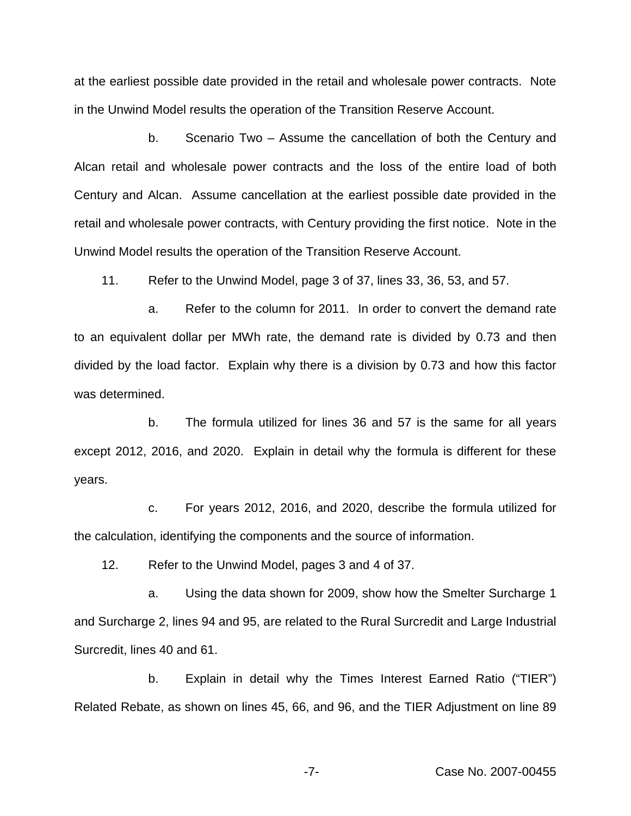at the earliest possible date provided in the retail and wholesale power contracts. Note in the Unwind Model results the operation of the Transition Reserve Account.

b. Scenario Two – Assume the cancellation of both the Century and Alcan retail and wholesale power contracts and the loss of the entire load of both Century and Alcan. Assume cancellation at the earliest possible date provided in the retail and wholesale power contracts, with Century providing the first notice. Note in the Unwind Model results the operation of the Transition Reserve Account.

11. Refer to the Unwind Model, page 3 of 37, lines 33, 36, 53, and 57.

a. Refer to the column for 2011. In order to convert the demand rate to an equivalent dollar per MWh rate, the demand rate is divided by 0.73 and then divided by the load factor. Explain why there is a division by 0.73 and how this factor was determined.

b. The formula utilized for lines 36 and 57 is the same for all years except 2012, 2016, and 2020. Explain in detail why the formula is different for these years.

c. For years 2012, 2016, and 2020, describe the formula utilized for the calculation, identifying the components and the source of information.

12. Refer to the Unwind Model, pages 3 and 4 of 37.

a. Using the data shown for 2009, show how the Smelter Surcharge 1 and Surcharge 2, lines 94 and 95, are related to the Rural Surcredit and Large Industrial Surcredit, lines 40 and 61.

b. Explain in detail why the Times Interest Earned Ratio ("TIER") Related Rebate, as shown on lines 45, 66, and 96, and the TIER Adjustment on line 89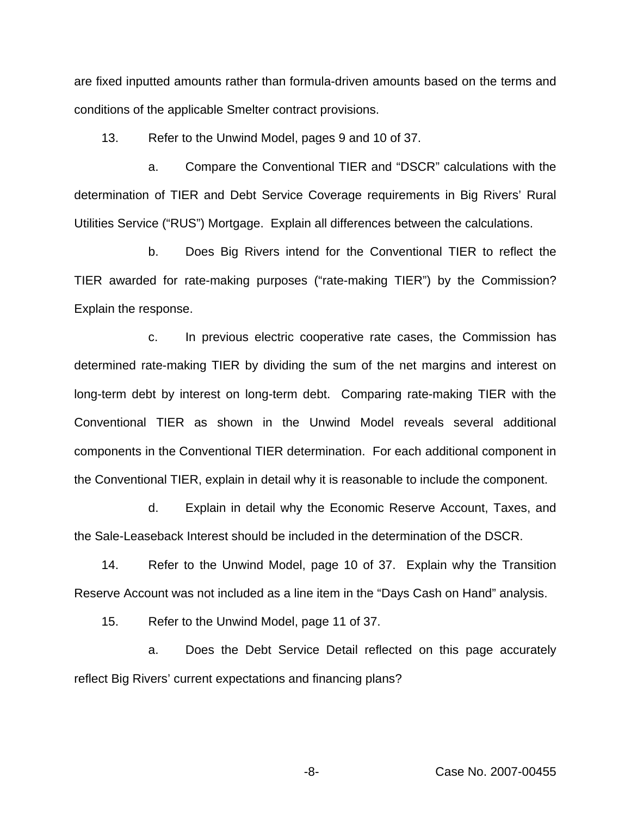are fixed inputted amounts rather than formula-driven amounts based on the terms and conditions of the applicable Smelter contract provisions.

13. Refer to the Unwind Model, pages 9 and 10 of 37.

a. Compare the Conventional TIER and "DSCR" calculations with the determination of TIER and Debt Service Coverage requirements in Big Rivers' Rural Utilities Service ("RUS") Mortgage. Explain all differences between the calculations.

b. Does Big Rivers intend for the Conventional TIER to reflect the TIER awarded for rate-making purposes ("rate-making TIER") by the Commission? Explain the response.

c. In previous electric cooperative rate cases, the Commission has determined rate-making TIER by dividing the sum of the net margins and interest on long-term debt by interest on long-term debt. Comparing rate-making TIER with the Conventional TIER as shown in the Unwind Model reveals several additional components in the Conventional TIER determination. For each additional component in the Conventional TIER, explain in detail why it is reasonable to include the component.

d. Explain in detail why the Economic Reserve Account, Taxes, and the Sale-Leaseback Interest should be included in the determination of the DSCR.

14. Refer to the Unwind Model, page 10 of 37. Explain why the Transition Reserve Account was not included as a line item in the "Days Cash on Hand" analysis.

15. Refer to the Unwind Model, page 11 of 37.

a. Does the Debt Service Detail reflected on this page accurately reflect Big Rivers' current expectations and financing plans?

-8- Case No. 2007-00455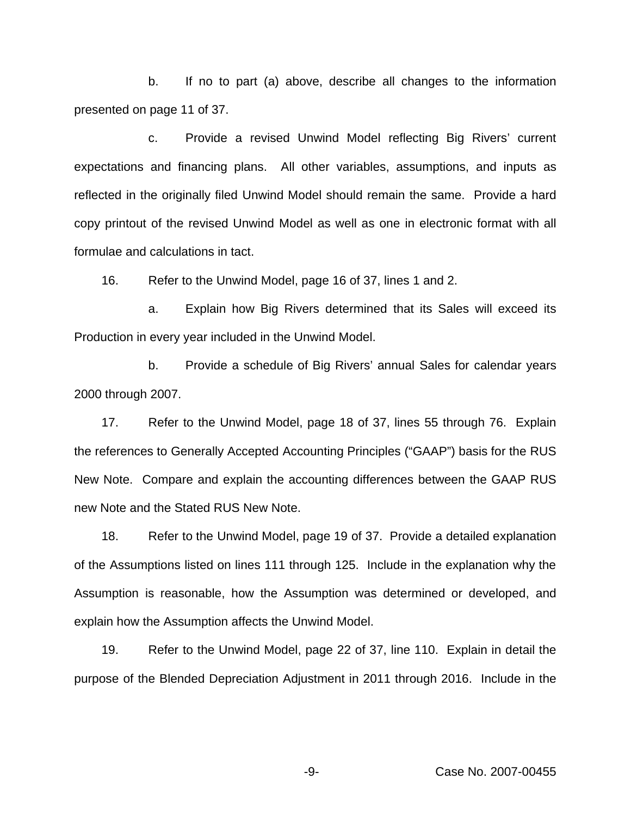b. If no to part (a) above, describe all changes to the information presented on page 11 of 37.

c. Provide a revised Unwind Model reflecting Big Rivers' current expectations and financing plans. All other variables, assumptions, and inputs as reflected in the originally filed Unwind Model should remain the same. Provide a hard copy printout of the revised Unwind Model as well as one in electronic format with all formulae and calculations in tact.

16. Refer to the Unwind Model, page 16 of 37, lines 1 and 2.

a. Explain how Big Rivers determined that its Sales will exceed its Production in every year included in the Unwind Model.

b. Provide a schedule of Big Rivers' annual Sales for calendar years 2000 through 2007.

17. Refer to the Unwind Model, page 18 of 37, lines 55 through 76. Explain the references to Generally Accepted Accounting Principles ("GAAP") basis for the RUS New Note. Compare and explain the accounting differences between the GAAP RUS new Note and the Stated RUS New Note.

18. Refer to the Unwind Model, page 19 of 37. Provide a detailed explanation of the Assumptions listed on lines 111 through 125. Include in the explanation why the Assumption is reasonable, how the Assumption was determined or developed, and explain how the Assumption affects the Unwind Model.

19. Refer to the Unwind Model, page 22 of 37, line 110. Explain in detail the purpose of the Blended Depreciation Adjustment in 2011 through 2016. Include in the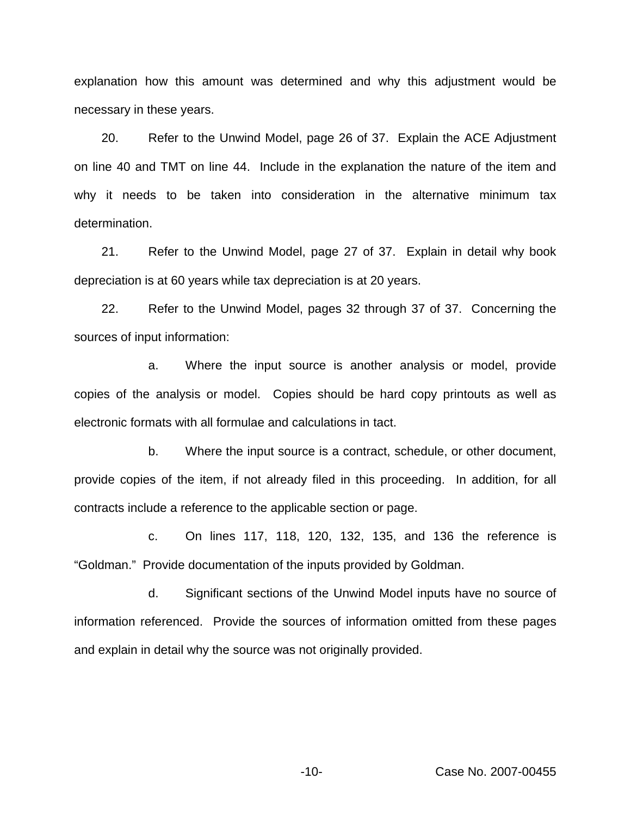explanation how this amount was determined and why this adjustment would be necessary in these years.

20. Refer to the Unwind Model, page 26 of 37. Explain the ACE Adjustment on line 40 and TMT on line 44. Include in the explanation the nature of the item and why it needs to be taken into consideration in the alternative minimum tax determination.

21. Refer to the Unwind Model, page 27 of 37. Explain in detail why book depreciation is at 60 years while tax depreciation is at 20 years.

22. Refer to the Unwind Model, pages 32 through 37 of 37. Concerning the sources of input information:

a. Where the input source is another analysis or model, provide copies of the analysis or model. Copies should be hard copy printouts as well as electronic formats with all formulae and calculations in tact.

b. Where the input source is a contract, schedule, or other document, provide copies of the item, if not already filed in this proceeding. In addition, for all contracts include a reference to the applicable section or page.

c. On lines 117, 118, 120, 132, 135, and 136 the reference is "Goldman." Provide documentation of the inputs provided by Goldman.

d. Significant sections of the Unwind Model inputs have no source of information referenced. Provide the sources of information omitted from these pages and explain in detail why the source was not originally provided.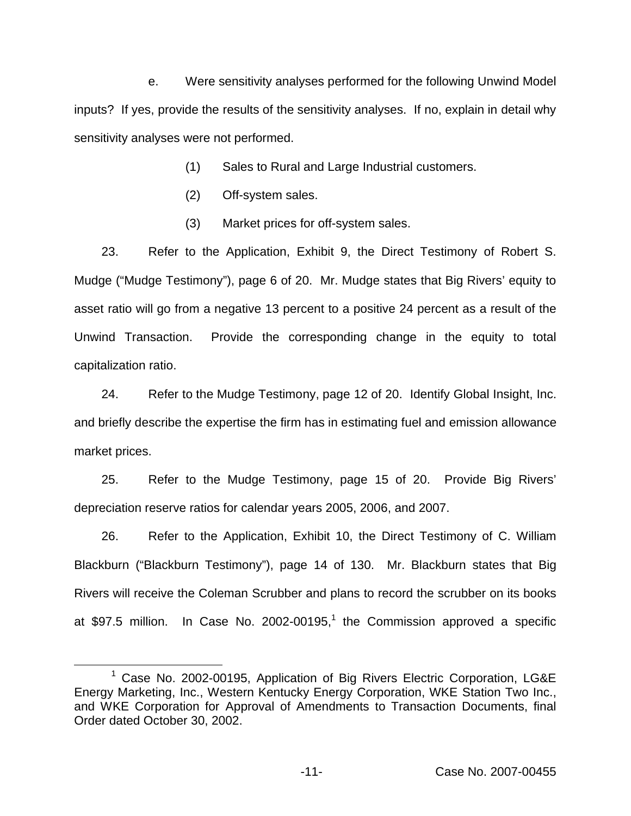e. Were sensitivity analyses performed for the following Unwind Model inputs? If yes, provide the results of the sensitivity analyses. If no, explain in detail why sensitivity analyses were not performed.

- (1) Sales to Rural and Large Industrial customers.
- (2) Off-system sales.
- (3) Market prices for off-system sales.

23. Refer to the Application, Exhibit 9, the Direct Testimony of Robert S. Mudge ("Mudge Testimony"), page 6 of 20. Mr. Mudge states that Big Rivers' equity to asset ratio will go from a negative 13 percent to a positive 24 percent as a result of the Unwind Transaction. Provide the corresponding change in the equity to total capitalization ratio.

24. Refer to the Mudge Testimony, page 12 of 20. Identify Global Insight, Inc. and briefly describe the expertise the firm has in estimating fuel and emission allowance market prices.

25. Refer to the Mudge Testimony, page 15 of 20. Provide Big Rivers' depreciation reserve ratios for calendar years 2005, 2006, and 2007.

26. Refer to the Application, Exhibit 10, the Direct Testimony of C. William Blackburn ("Blackburn Testimony"), page 14 of 130. Mr. Blackburn states that Big Rivers will receive the Coleman Scrubber and plans to record the scrubber on its books at \$97.5 million. In Case No. 2002-00195,<sup>1</sup> the Commission approved a specific

<sup>&</sup>lt;sup>1</sup> Case No. 2002-00195, Application of Big Rivers Electric Corporation, LG&E Energy Marketing, Inc., Western Kentucky Energy Corporation, WKE Station Two Inc., and WKE Corporation for Approval of Amendments to Transaction Documents, final Order dated October 30, 2002.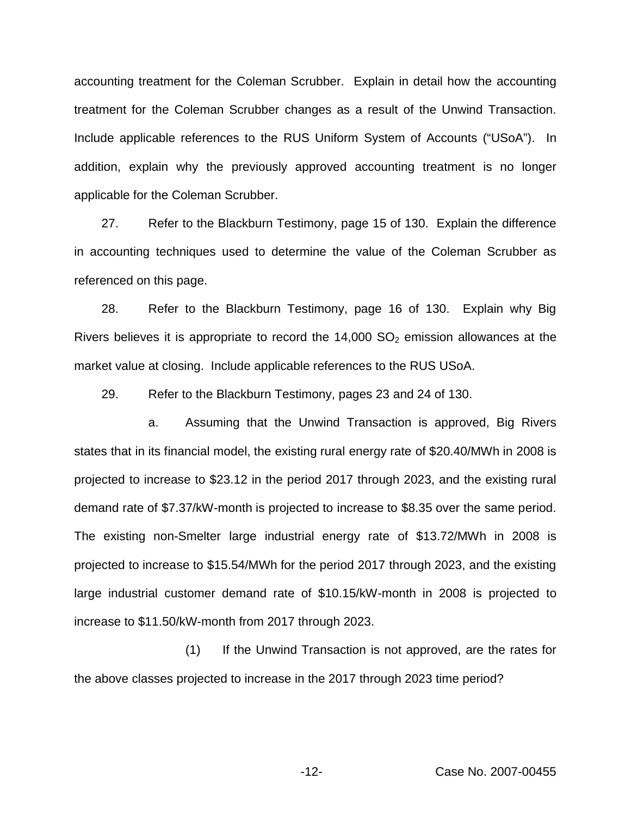accounting treatment for the Coleman Scrubber. Explain in detail how the accounting treatment for the Coleman Scrubber changes as a result of the Unwind Transaction. Include applicable references to the RUS Uniform System of Accounts ("USoA"). In addition, explain why the previously approved accounting treatment is no longer applicable for the Coleman Scrubber.

27. Refer to the Blackburn Testimony, page 15 of 130. Explain the difference in accounting techniques used to determine the value of the Coleman Scrubber as referenced on this page.

28. Refer to the Blackburn Testimony, page 16 of 130. Explain why Big Rivers believes it is appropriate to record the  $14,000$  SO<sub>2</sub> emission allowances at the market value at closing. Include applicable references to the RUS USoA.

29. Refer to the Blackburn Testimony, pages 23 and 24 of 130.

a. Assuming that the Unwind Transaction is approved, Big Rivers states that in its financial model, the existing rural energy rate of \$20.40/MWh in 2008 is projected to increase to \$23.12 in the period 2017 through 2023, and the existing rural demand rate of \$7.37/kW-month is projected to increase to \$8.35 over the same period. The existing non-Smelter large industrial energy rate of \$13.72/MWh in 2008 is projected to increase to \$15.54/MWh for the period 2017 through 2023, and the existing large industrial customer demand rate of \$10.15/kW-month in 2008 is projected to increase to \$11.50/kW-month from 2017 through 2023.

(1) If the Unwind Transaction is not approved, are the rates for the above classes projected to increase in the 2017 through 2023 time period?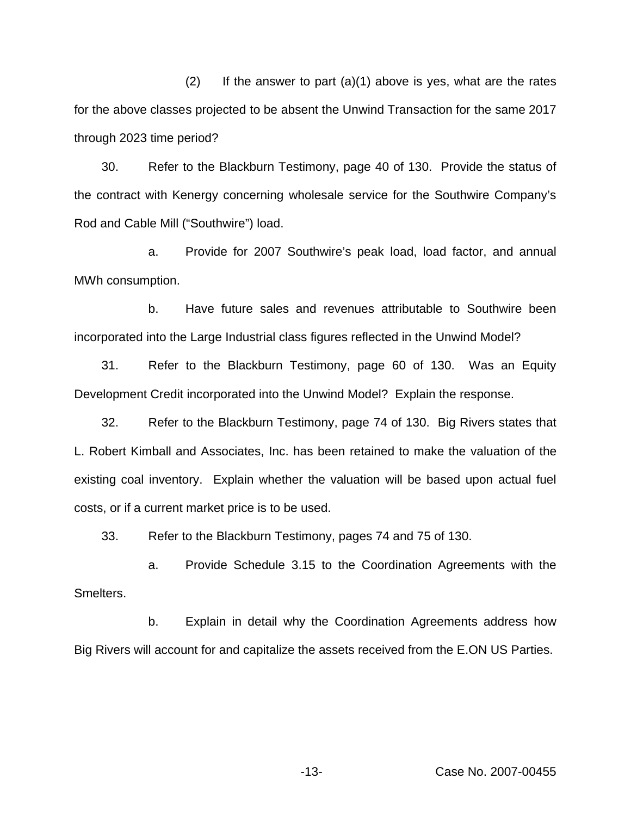$(2)$  If the answer to part  $(a)(1)$  above is yes, what are the rates for the above classes projected to be absent the Unwind Transaction for the same 2017 through 2023 time period?

30. Refer to the Blackburn Testimony, page 40 of 130. Provide the status of the contract with Kenergy concerning wholesale service for the Southwire Company's Rod and Cable Mill ("Southwire") load.

a. Provide for 2007 Southwire's peak load, load factor, and annual MWh consumption.

b. Have future sales and revenues attributable to Southwire been incorporated into the Large Industrial class figures reflected in the Unwind Model?

31. Refer to the Blackburn Testimony, page 60 of 130. Was an Equity Development Credit incorporated into the Unwind Model? Explain the response.

32. Refer to the Blackburn Testimony, page 74 of 130. Big Rivers states that L. Robert Kimball and Associates, Inc. has been retained to make the valuation of the existing coal inventory. Explain whether the valuation will be based upon actual fuel costs, or if a current market price is to be used.

33. Refer to the Blackburn Testimony, pages 74 and 75 of 130.

a. Provide Schedule 3.15 to the Coordination Agreements with the Smelters.

b. Explain in detail why the Coordination Agreements address how Big Rivers will account for and capitalize the assets received from the E.ON US Parties.

-13- Case No. 2007-00455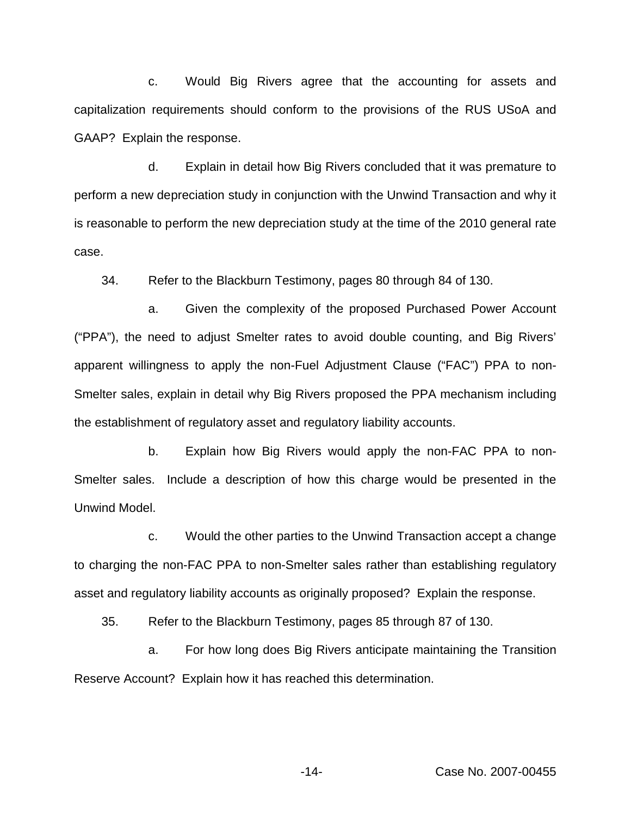c. Would Big Rivers agree that the accounting for assets and capitalization requirements should conform to the provisions of the RUS USoA and GAAP? Explain the response.

d. Explain in detail how Big Rivers concluded that it was premature to perform a new depreciation study in conjunction with the Unwind Transaction and why it is reasonable to perform the new depreciation study at the time of the 2010 general rate case.

34. Refer to the Blackburn Testimony, pages 80 through 84 of 130.

a. Given the complexity of the proposed Purchased Power Account ("PPA"), the need to adjust Smelter rates to avoid double counting, and Big Rivers' apparent willingness to apply the non-Fuel Adjustment Clause ("FAC") PPA to non-Smelter sales, explain in detail why Big Rivers proposed the PPA mechanism including the establishment of regulatory asset and regulatory liability accounts.

b. Explain how Big Rivers would apply the non-FAC PPA to non-Smelter sales. Include a description of how this charge would be presented in the Unwind Model.

c. Would the other parties to the Unwind Transaction accept a change to charging the non-FAC PPA to non-Smelter sales rather than establishing regulatory asset and regulatory liability accounts as originally proposed? Explain the response.

35. Refer to the Blackburn Testimony, pages 85 through 87 of 130.

a. For how long does Big Rivers anticipate maintaining the Transition Reserve Account? Explain how it has reached this determination.

-14- Case No. 2007-00455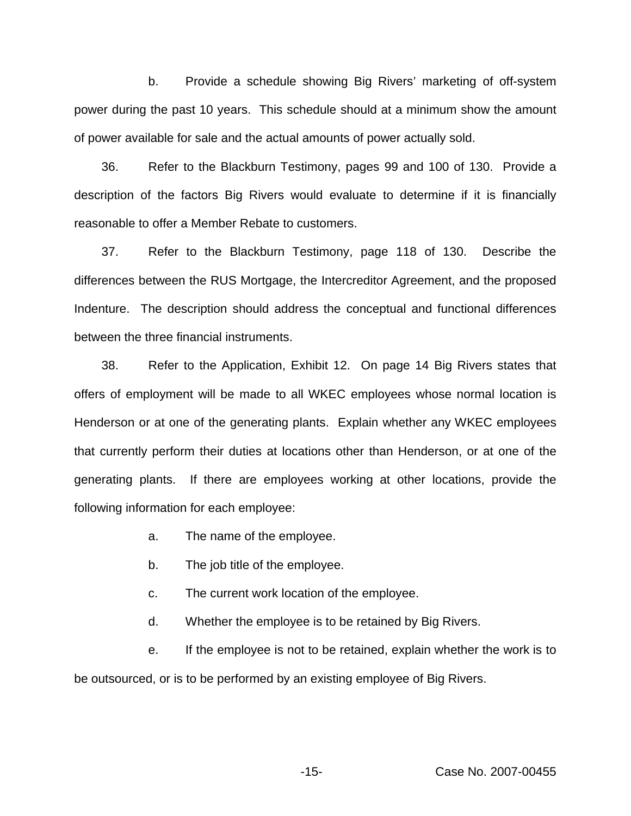b. Provide a schedule showing Big Rivers' marketing of off-system power during the past 10 years. This schedule should at a minimum show the amount of power available for sale and the actual amounts of power actually sold.

36. Refer to the Blackburn Testimony, pages 99 and 100 of 130. Provide a description of the factors Big Rivers would evaluate to determine if it is financially reasonable to offer a Member Rebate to customers.

37. Refer to the Blackburn Testimony, page 118 of 130. Describe the differences between the RUS Mortgage, the Intercreditor Agreement, and the proposed Indenture. The description should address the conceptual and functional differences between the three financial instruments.

38. Refer to the Application, Exhibit 12. On page 14 Big Rivers states that offers of employment will be made to all WKEC employees whose normal location is Henderson or at one of the generating plants. Explain whether any WKEC employees that currently perform their duties at locations other than Henderson, or at one of the generating plants. If there are employees working at other locations, provide the following information for each employee:

- a. The name of the employee.
- b. The job title of the employee.
- c. The current work location of the employee.
- d. Whether the employee is to be retained by Big Rivers.

e. If the employee is not to be retained, explain whether the work is to be outsourced, or is to be performed by an existing employee of Big Rivers.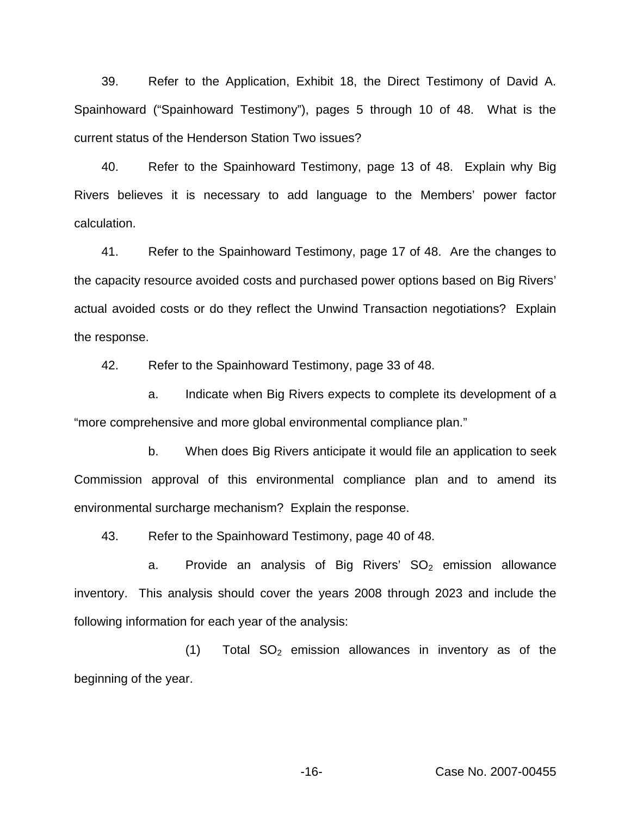39. Refer to the Application, Exhibit 18, the Direct Testimony of David A. Spainhoward ("Spainhoward Testimony"), pages 5 through 10 of 48. What is the current status of the Henderson Station Two issues?

40. Refer to the Spainhoward Testimony, page 13 of 48. Explain why Big Rivers believes it is necessary to add language to the Members' power factor calculation.

41. Refer to the Spainhoward Testimony, page 17 of 48. Are the changes to the capacity resource avoided costs and purchased power options based on Big Rivers' actual avoided costs or do they reflect the Unwind Transaction negotiations? Explain the response.

42. Refer to the Spainhoward Testimony, page 33 of 48.

a. Indicate when Big Rivers expects to complete its development of a "more comprehensive and more global environmental compliance plan."

b. When does Big Rivers anticipate it would file an application to seek Commission approval of this environmental compliance plan and to amend its environmental surcharge mechanism? Explain the response.

43. Refer to the Spainhoward Testimony, page 40 of 48.

a. Provide an analysis of Big Rivers'  $SO<sub>2</sub>$  emission allowance inventory. This analysis should cover the years 2008 through 2023 and include the following information for each year of the analysis:

 $(1)$  Total SO<sub>2</sub> emission allowances in inventory as of the beginning of the year.

-16- Case No. 2007-00455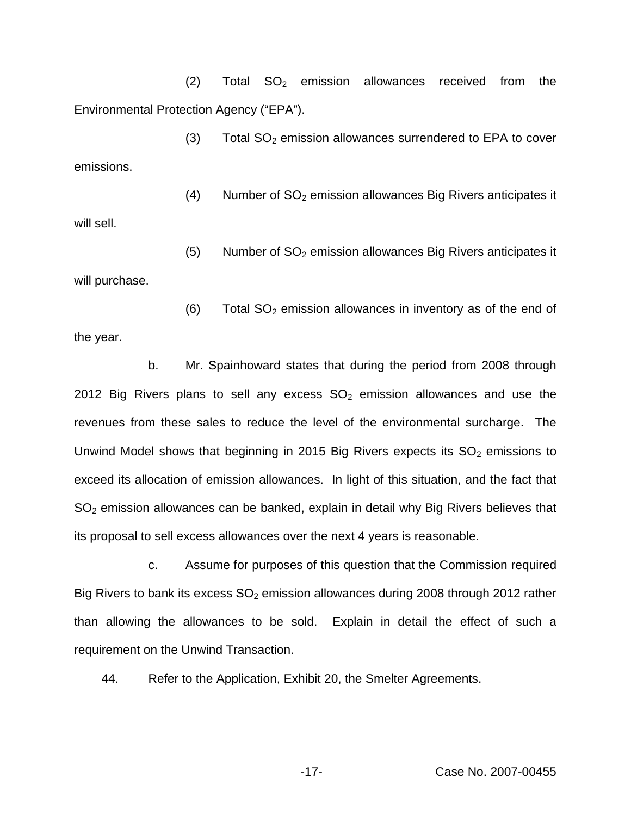$(2)$  Total SO<sub>2</sub> emission allowances received from the Environmental Protection Agency ("EPA").

 $(3)$  Total SO<sub>2</sub> emission allowances surrendered to EPA to cover emissions.

 $(4)$  Number of SO<sub>2</sub> emission allowances Big Rivers anticipates it will sell.

 $(5)$  Number of SO<sub>2</sub> emission allowances Big Rivers anticipates it will purchase.

the year.

 $(6)$  Total SO<sub>2</sub> emission allowances in inventory as of the end of

b. Mr. Spainhoward states that during the period from 2008 through 2012 Big Rivers plans to sell any excess  $SO<sub>2</sub>$  emission allowances and use the revenues from these sales to reduce the level of the environmental surcharge. The Unwind Model shows that beginning in 2015 Big Rivers expects its  $SO<sub>2</sub>$  emissions to exceed its allocation of emission allowances. In light of this situation, and the fact that  $SO<sub>2</sub>$  emission allowances can be banked, explain in detail why Big Rivers believes that its proposal to sell excess allowances over the next 4 years is reasonable.

c. Assume for purposes of this question that the Commission required Big Rivers to bank its excess  $SO<sub>2</sub>$  emission allowances during 2008 through 2012 rather than allowing the allowances to be sold. Explain in detail the effect of such a requirement on the Unwind Transaction.

44. Refer to the Application, Exhibit 20, the Smelter Agreements.

-17- Case No. 2007-00455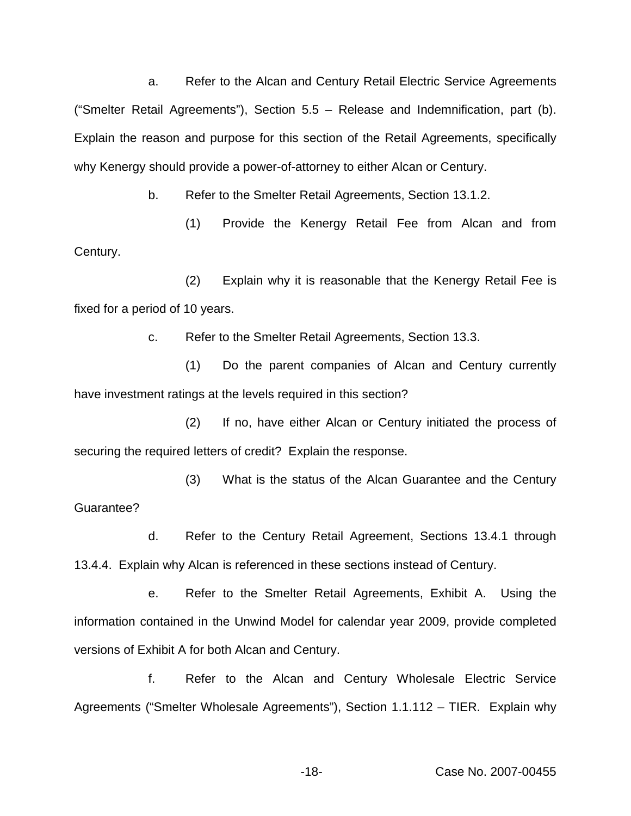a. Refer to the Alcan and Century Retail Electric Service Agreements ("Smelter Retail Agreements"), Section 5.5 – Release and Indemnification, part (b). Explain the reason and purpose for this section of the Retail Agreements, specifically why Kenergy should provide a power-of-attorney to either Alcan or Century.

b. Refer to the Smelter Retail Agreements, Section 13.1.2.

(1) Provide the Kenergy Retail Fee from Alcan and from Century.

(2) Explain why it is reasonable that the Kenergy Retail Fee is fixed for a period of 10 years.

c. Refer to the Smelter Retail Agreements, Section 13.3.

(1) Do the parent companies of Alcan and Century currently have investment ratings at the levels required in this section?

(2) If no, have either Alcan or Century initiated the process of securing the required letters of credit? Explain the response.

(3) What is the status of the Alcan Guarantee and the Century Guarantee?

d. Refer to the Century Retail Agreement, Sections 13.4.1 through 13.4.4. Explain why Alcan is referenced in these sections instead of Century.

e. Refer to the Smelter Retail Agreements, Exhibit A. Using the information contained in the Unwind Model for calendar year 2009, provide completed versions of Exhibit A for both Alcan and Century.

f. Refer to the Alcan and Century Wholesale Electric Service Agreements ("Smelter Wholesale Agreements"), Section 1.1.112 – TIER. Explain why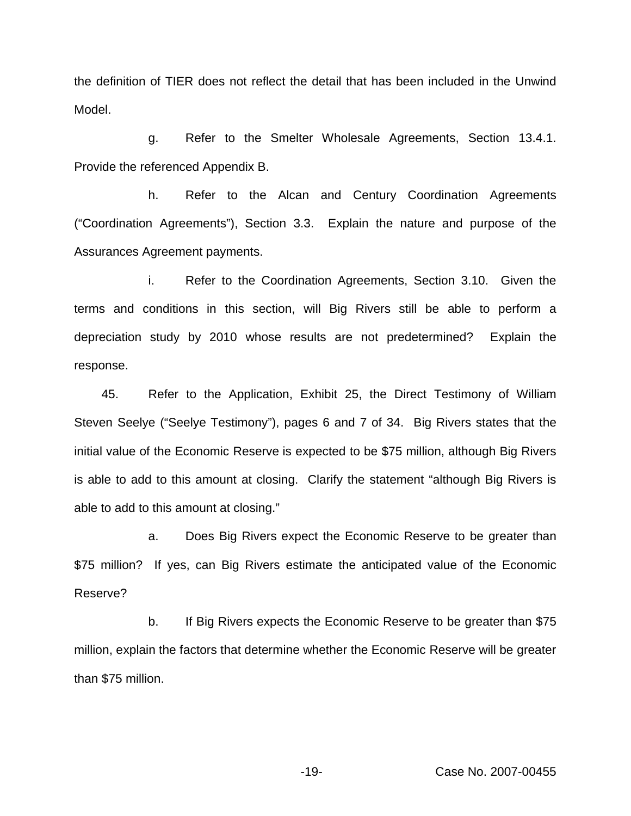the definition of TIER does not reflect the detail that has been included in the Unwind Model.

g. Refer to the Smelter Wholesale Agreements, Section 13.4.1. Provide the referenced Appendix B.

h. Refer to the Alcan and Century Coordination Agreements ("Coordination Agreements"), Section 3.3. Explain the nature and purpose of the Assurances Agreement payments.

i. Refer to the Coordination Agreements, Section 3.10. Given the terms and conditions in this section, will Big Rivers still be able to perform a depreciation study by 2010 whose results are not predetermined? Explain the response.

45. Refer to the Application, Exhibit 25, the Direct Testimony of William Steven Seelye ("Seelye Testimony"), pages 6 and 7 of 34. Big Rivers states that the initial value of the Economic Reserve is expected to be \$75 million, although Big Rivers is able to add to this amount at closing. Clarify the statement "although Big Rivers is able to add to this amount at closing."

a. Does Big Rivers expect the Economic Reserve to be greater than \$75 million? If yes, can Big Rivers estimate the anticipated value of the Economic Reserve?

b. If Big Rivers expects the Economic Reserve to be greater than \$75 million, explain the factors that determine whether the Economic Reserve will be greater than \$75 million.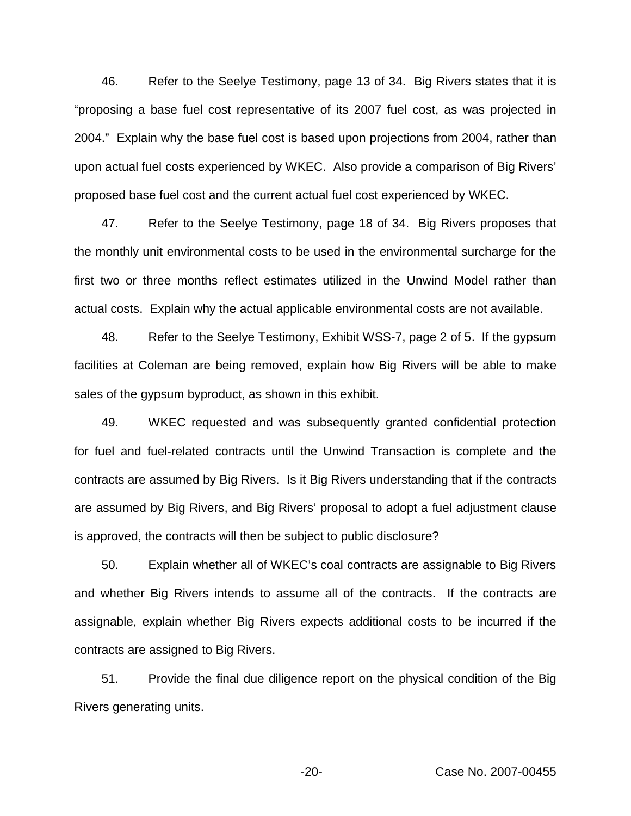46. Refer to the Seelye Testimony, page 13 of 34. Big Rivers states that it is "proposing a base fuel cost representative of its 2007 fuel cost, as was projected in 2004." Explain why the base fuel cost is based upon projections from 2004, rather than upon actual fuel costs experienced by WKEC. Also provide a comparison of Big Rivers' proposed base fuel cost and the current actual fuel cost experienced by WKEC.

47. Refer to the Seelye Testimony, page 18 of 34. Big Rivers proposes that the monthly unit environmental costs to be used in the environmental surcharge for the first two or three months reflect estimates utilized in the Unwind Model rather than actual costs. Explain why the actual applicable environmental costs are not available.

48. Refer to the Seelye Testimony, Exhibit WSS-7, page 2 of 5. If the gypsum facilities at Coleman are being removed, explain how Big Rivers will be able to make sales of the gypsum byproduct, as shown in this exhibit.

49. WKEC requested and was subsequently granted confidential protection for fuel and fuel-related contracts until the Unwind Transaction is complete and the contracts are assumed by Big Rivers. Is it Big Rivers understanding that if the contracts are assumed by Big Rivers, and Big Rivers' proposal to adopt a fuel adjustment clause is approved, the contracts will then be subject to public disclosure?

50. Explain whether all of WKEC's coal contracts are assignable to Big Rivers and whether Big Rivers intends to assume all of the contracts. If the contracts are assignable, explain whether Big Rivers expects additional costs to be incurred if the contracts are assigned to Big Rivers.

51. Provide the final due diligence report on the physical condition of the Big Rivers generating units.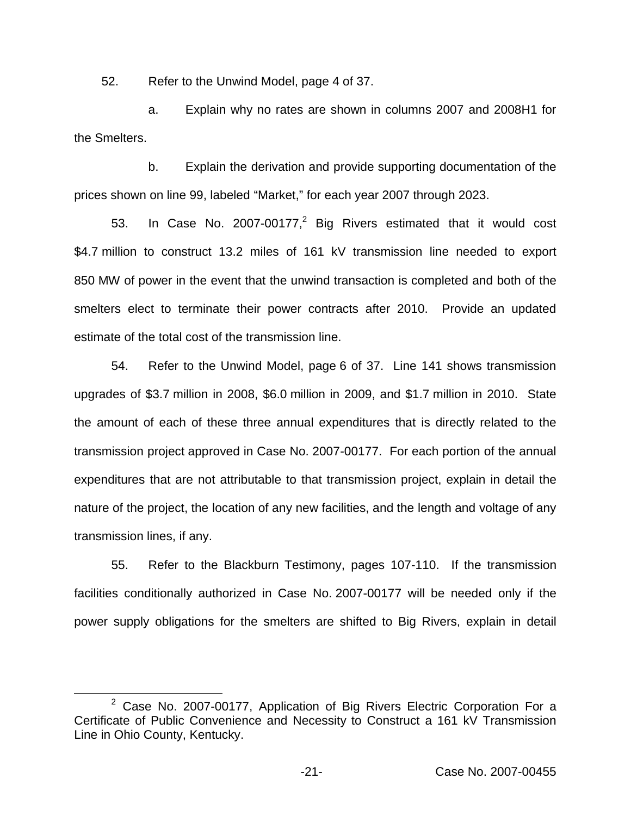52. Refer to the Unwind Model, page 4 of 37.

a. Explain why no rates are shown in columns 2007 and 2008H1 for the Smelters.

b. Explain the derivation and provide supporting documentation of the prices shown on line 99, labeled "Market," for each year 2007 through 2023.

53. In Case No. 2007-00177, $^2$  Big Rivers estimated that it would cost \$4.7 million to construct 13.2 miles of 161 kV transmission line needed to export 850 MW of power in the event that the unwind transaction is completed and both of the smelters elect to terminate their power contracts after 2010. Provide an updated estimate of the total cost of the transmission line.

54. Refer to the Unwind Model, page 6 of 37. Line 141 shows transmission upgrades of \$3.7 million in 2008, \$6.0 million in 2009, and \$1.7 million in 2010. State the amount of each of these three annual expenditures that is directly related to the transmission project approved in Case No. 2007-00177. For each portion of the annual expenditures that are not attributable to that transmission project, explain in detail the nature of the project, the location of any new facilities, and the length and voltage of any transmission lines, if any.

55. Refer to the Blackburn Testimony, pages 107-110. If the transmission facilities conditionally authorized in Case No. 2007-00177 will be needed only if the power supply obligations for the smelters are shifted to Big Rivers, explain in detail

 $2$  Case No. 2007-00177, Application of Big Rivers Electric Corporation For a Certificate of Public Convenience and Necessity to Construct a 161 kV Transmission Line in Ohio County, Kentucky.